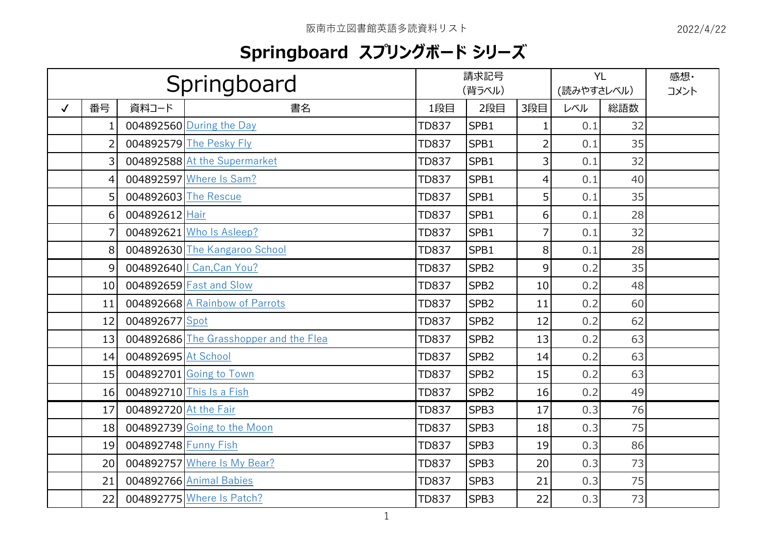## **Springboard スプリングボード シリーズ**

|              | Springboard     |                       |                                        | 請求記号<br>(背ラベル) |                  |                | (読みやすさレベル) | <b>YL</b> | 感想·<br>コメント |
|--------------|-----------------|-----------------------|----------------------------------------|----------------|------------------|----------------|------------|-----------|-------------|
| $\checkmark$ | 番号              | 資料コード                 | 書名                                     | 1段目            | 2段目              | 3段目            | レベル        | 総語数       |             |
|              | $\mathbf{1}$    |                       | 004892560 During the Day               | <b>TD837</b>   | SPB1             | 1              | 0.1        | 32        |             |
|              | $\overline{2}$  |                       | 004892579 The Pesky Fly                | <b>TD837</b>   | SPB1             | $\overline{2}$ | 0.1        | 35        |             |
|              | $\overline{3}$  |                       | 004892588 At the Supermarket           | <b>TD837</b>   | SPB1             | 3              | 0.1        | 32        |             |
|              | 4               |                       | 004892597 Where Is Sam?                | <b>TD837</b>   | SPB1             | 4              | 0.1        | 40        |             |
|              | 5 <sup>1</sup>  | 004892603 The Rescue  |                                        | <b>TD837</b>   | SPB1             | 5              | 0.1        | 35        |             |
|              | 6               | 004892612 Hair        |                                        | <b>TD837</b>   | SPB1             | 6              | 0.1        | 28        |             |
|              | $\overline{7}$  |                       | 004892621 Who Is Asleep?               | <b>TD837</b>   | SPB1             | $\overline{7}$ | 0.1        | 32        |             |
|              | 8 <sup>1</sup>  |                       | 004892630 The Kangaroo School          | <b>TD837</b>   | SPB1             | 8              | 0.1        | 28        |             |
|              | $\overline{9}$  |                       | 004892640   Can, Can You?              | <b>TD837</b>   | SPB <sub>2</sub> | 9              | 0.2        | 35        |             |
|              | 10 <sup>1</sup> |                       | 004892659 Fast and Slow                | <b>TD837</b>   | SPB <sub>2</sub> | 10             | 0.2        | 48        |             |
|              | 11              |                       | 004892668 A Rainbow of Parrots         | <b>TD837</b>   | SPB <sub>2</sub> | 11             | 0.2        | 60        |             |
|              | 12              | 004892677 Spot        |                                        | <b>TD837</b>   | SPB <sub>2</sub> | 12             | 0.2        | 62        |             |
|              | 13              |                       | 004892686 The Grasshopper and the Flea | <b>TD837</b>   | SPB <sub>2</sub> | 13             | 0.2        | 63        |             |
|              | 14              | 004892695 At School   |                                        | <b>TD837</b>   | SPB <sub>2</sub> | 14             | 0.2        | 63        |             |
|              | 15 <sub>1</sub> |                       | 004892701 Going to Town                | <b>TD837</b>   | SPB <sub>2</sub> | 15             | 0.2        | 63        |             |
|              | 16 <sup>1</sup> |                       | 004892710 This Is a Fish               | <b>TD837</b>   | SPB <sub>2</sub> | 16             | 0.2        | 49        |             |
|              | 17              | 004892720 At the Fair |                                        | <b>TD837</b>   | SPB <sub>3</sub> | 17             | 0.3        | 76        |             |
|              | 18 <sup>1</sup> |                       | 004892739 Going to the Moon            | <b>TD837</b>   | SPB <sub>3</sub> | 18             | 0.3        | 75        |             |
|              | 19              | 004892748 Funny Fish  |                                        | <b>TD837</b>   | SPB <sub>3</sub> | 19             | 0.3        | 86        |             |
|              | 20 <sup>1</sup> |                       | 004892757 Where Is My Bear?            | <b>TD837</b>   | SPB <sub>3</sub> | 20             | 0.3        | 73        |             |
|              | 21              |                       | 004892766 Animal Babies                | <b>TD837</b>   | SPB <sub>3</sub> | 21             | 0.3        | 75        |             |
|              | 22              |                       | 004892775 Where Is Patch?              | <b>TD837</b>   | SPB <sub>3</sub> | 22             | 0.3        | 73        |             |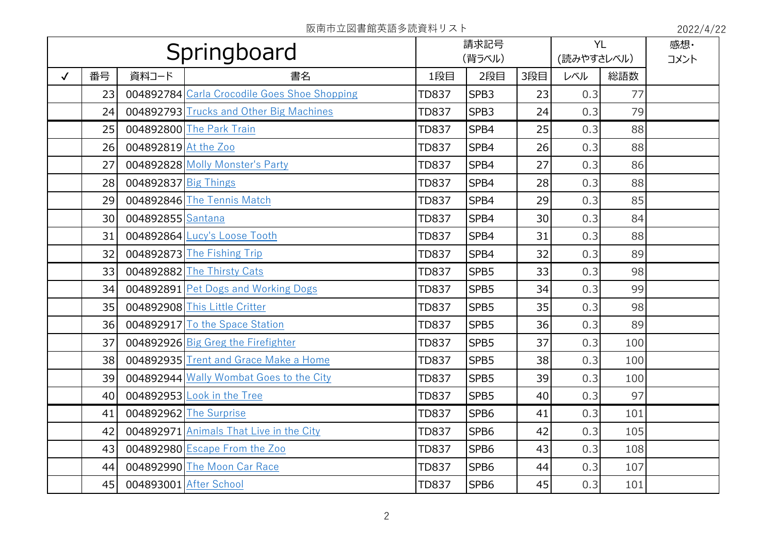|              | Springboard |                        |                                              |              | 請求記号<br>(背ラベル)   |                 |     | <b>YL</b> | 感想· |
|--------------|-------------|------------------------|----------------------------------------------|--------------|------------------|-----------------|-----|-----------|-----|
|              |             |                        |                                              |              |                  | (読みやすさレベル)      |     | コメント      |     |
| $\checkmark$ | 番号          | 資料コード                  | 書名                                           | 1段目          | 2段目              | 3段目             | レベル | 総語数       |     |
|              | 23          |                        | 004892784 Carla Crocodile Goes Shoe Shopping | <b>TD837</b> | SPB3             | 23              | 0.3 | 77        |     |
|              | 24          |                        | 004892793 Trucks and Other Big Machines      | <b>TD837</b> | SPB3             | 24              | 0.3 | 79        |     |
|              | 25          |                        | 004892800 The Park Train                     | <b>TD837</b> | SPB4             | 25              | 0.3 | 88        |     |
|              | 26          | 004892819 At the Zoo   |                                              | <b>TD837</b> | SPB4             | 26              | 0.3 | 88        |     |
|              | 27          |                        | 004892828 Molly Monster's Party              | <b>TD837</b> | SPB4             | 27              | 0.3 | 86        |     |
|              | 28          | 004892837 Big Things   |                                              | <b>TD837</b> | SPB4             | 28              | 0.3 | 88        |     |
|              | 29          |                        | 004892846 The Tennis Match                   | <b>TD837</b> | SPB4             | 29              | 0.3 | 85        |     |
|              | 30          | 004892855 Santana      |                                              | <b>TD837</b> | SPB4             | 30 <sup>1</sup> | 0.3 | 84        |     |
|              | 31          |                        | 004892864 Lucy's Loose Tooth                 | <b>TD837</b> | SPB4             | 31              | 0.3 | 88        |     |
|              | 32          |                        | 004892873 The Fishing Trip                   | <b>TD837</b> | SPB4             | 32              | 0.3 | 89        |     |
|              | 33          |                        | 004892882 The Thirsty Cats                   | <b>TD837</b> | SPB5             | 33              | 0.3 | 98        |     |
|              | 34          |                        | 004892891 Pet Dogs and Working Dogs          | <b>TD837</b> | SPB5             | 34              | 0.3 | 99        |     |
|              | 35          |                        | 004892908 This Little Critter                | <b>TD837</b> | SPB5             | 35              | 0.3 | 98        |     |
|              | 36          |                        | 004892917 To the Space Station               | <b>TD837</b> | SPB5             | 36              | 0.3 | 89        |     |
|              | 37          |                        | 004892926 Big Greg the Firefighter           | <b>TD837</b> | SPB5             | 37              | 0.3 | 100       |     |
|              | 38          |                        | 004892935 Trent and Grace Make a Home        | <b>TD837</b> | SPB5             | 38              | 0.3 | 100       |     |
|              | 39          |                        | 004892944 Wally Wombat Goes to the City      | <b>TD837</b> | SPB5             | 39              | 0.3 | 100       |     |
|              | 40          |                        | 004892953 Look in the Tree                   | <b>TD837</b> | SPB5             | 40 <sup>1</sup> | 0.3 | 97        |     |
|              | 41          |                        | 004892962 The Surprise                       | <b>TD837</b> | SPB6             | 41              | 0.3 | 101       |     |
|              | 42          |                        | 004892971 Animals That Live in the City      | <b>TD837</b> | SPB6             | 42              | 0.3 | 105       |     |
|              | 43          |                        | 004892980 Escape From the Zoo                | <b>TD837</b> | SPB6             | 43              | 0.3 | 108       |     |
|              | 44          |                        | 004892990 The Moon Car Race                  | <b>TD837</b> | SPB <sub>6</sub> | 44              | 0.3 | 107       |     |
|              | 45          | 004893001 After School |                                              | <b>TD837</b> | SPB <sub>6</sub> | 45              | 0.3 | 101       |     |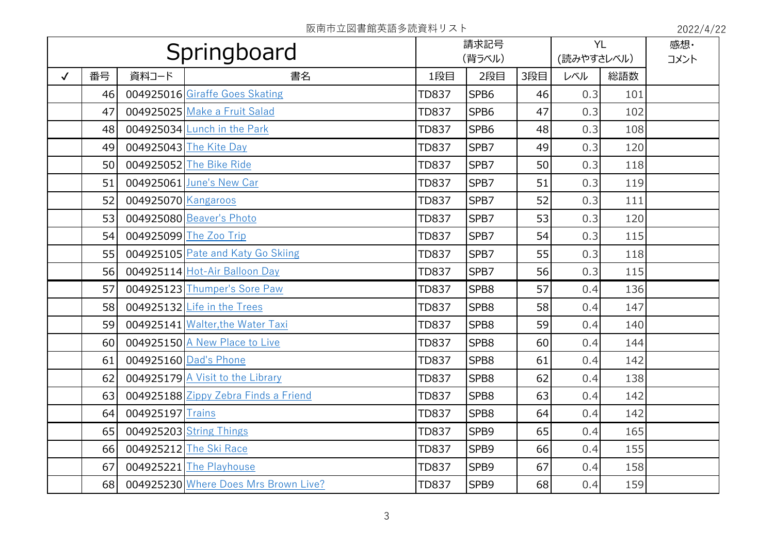|              | Springboard |                     |                                      | 請求記号<br>(背ラベル) |      |                 | (読みやすさレベル) | <b>YL</b> | 感想·<br>コメント |
|--------------|-------------|---------------------|--------------------------------------|----------------|------|-----------------|------------|-----------|-------------|
| $\checkmark$ | 番号          | 資料コード               | 書名                                   | 1段目            | 2段目  | 3段目             | レベル        | 総語数       |             |
|              | 46          |                     | 004925016 Giraffe Goes Skating       | <b>TD837</b>   | SPB6 | 46              | 0.3        | 101       |             |
|              | 47          |                     | 004925025 Make a Fruit Salad         | <b>TD837</b>   | SPB6 | 47              | 0.3        | 102       |             |
|              | 48          |                     | 004925034 Lunch in the Park          | <b>TD837</b>   | SPB6 | 48              | 0.3        | 108       |             |
|              | 49          |                     | 004925043 The Kite Day               | <b>TD837</b>   | SPB7 | 49              | 0.3        | 120       |             |
|              | 50          |                     | 004925052 The Bike Ride              | <b>TD837</b>   | SPB7 | 50              | 0.3        | 118       |             |
|              | 51          |                     | 004925061 June's New Car             | <b>TD837</b>   | SPB7 | 51              | 0.3        | 119       |             |
|              | 52          | 004925070 Kangaroos |                                      | <b>TD837</b>   | SPB7 | 52              | 0.3        | 111       |             |
|              | 53          |                     | 004925080 Beaver's Photo             | <b>TD837</b>   | SPB7 | 53              | 0.3        | 120       |             |
|              | 54          |                     | 004925099 The Zoo Trip               | <b>TD837</b>   | SPB7 | 54              | 0.3        | 115       |             |
|              | 55          |                     | 004925105 Pate and Katy Go Skiing    | <b>TD837</b>   | SPB7 | 55              | 0.3        | 118       |             |
|              | 56          |                     | 004925114 Hot-Air Balloon Day        | <b>TD837</b>   | SPB7 | 56              | 0.3        | 115       |             |
|              | 57          |                     | 004925123 Thumper's Sore Paw         | <b>TD837</b>   | SPB8 | 57              | 0.4        | 136       |             |
|              | 58          |                     | 004925132 Life in the Trees          | <b>TD837</b>   | SPB8 | 58              | 0.4        | 147       |             |
|              | 59          |                     | 004925141 Walter, the Water Taxi     | <b>TD837</b>   | SPB8 | 59              | 0.4        | 140       |             |
|              | 60          |                     | 004925150 A New Place to Live        | <b>TD837</b>   | SPB8 | 60 <sub>l</sub> | 0.4        | 144       |             |
|              | 61          |                     | 004925160 Dad's Phone                | <b>TD837</b>   | SPB8 | 61              | 0.4        | 142       |             |
|              | 62          |                     | 004925179 A Visit to the Library     | <b>TD837</b>   | SPB8 | 62              | 0.4        | 138       |             |
|              | 63          |                     | 004925188 Zippy Zebra Finds a Friend | <b>TD837</b>   | SPB8 | 63              | 0.4        | 142       |             |
|              | 64          | 004925197 Trains    |                                      | <b>TD837</b>   | SPB8 | 64              | 0.4        | 142       |             |
|              | 65          |                     | 004925203 String Things              | <b>TD837</b>   | SPB9 | 65              | 0.4        | 165       |             |
|              | 66          |                     | 004925212 The Ski Race               | <b>TD837</b>   | SPB9 | 66              | 0.4        | 155       |             |
|              | 67          |                     | 004925221 The Playhouse              | <b>TD837</b>   | SPB9 | 67              | 0.4        | 158       |             |
|              | 68          |                     | 004925230 Where Does Mrs Brown Live? | <b>TD837</b>   | SPB9 | 68              | 0.4        | 159       |             |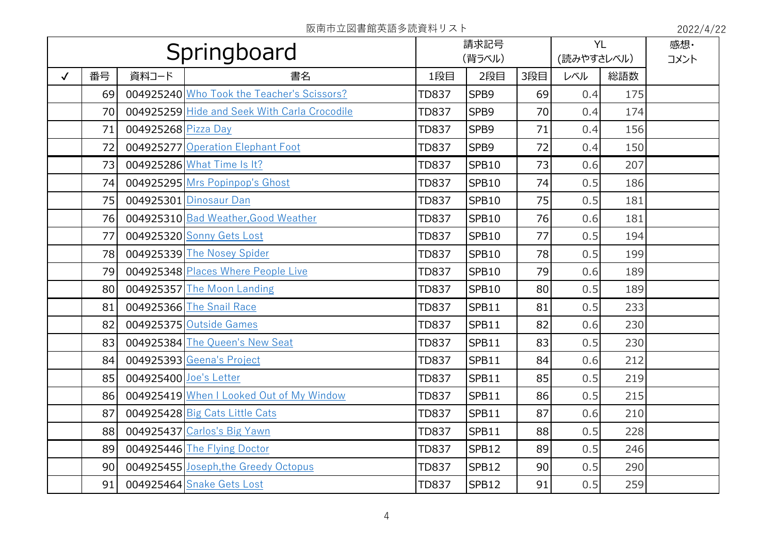|              | Springboard     |                        |                                              |              | 請求記号<br>(背ラベル) |                 |     | <b>YL</b><br>(読みやすさレベル) | 感想·<br>コメント |
|--------------|-----------------|------------------------|----------------------------------------------|--------------|----------------|-----------------|-----|-------------------------|-------------|
| $\checkmark$ | 番号              | 資料コード                  | 書名                                           | 1段目          | 2段目            | 3段目             | レベル | 総語数                     |             |
|              | 69              |                        | 004925240 Who Took the Teacher's Scissors?   | <b>TD837</b> | SPB9           | 69              | 0.4 | 175                     |             |
|              | 70              |                        | 004925259 Hide and Seek With Carla Crocodile | <b>TD837</b> | SPB9           | 70              | 0.4 | 174                     |             |
|              | 71              | 004925268 Pizza Day    |                                              | <b>TD837</b> | SPB9           | 71              | 0.4 | 156                     |             |
|              | 72              |                        | 004925277 Operation Elephant Foot            | <b>TD837</b> | SPB9           | 72              | 0.4 | 150                     |             |
|              | 73              |                        | 004925286 What Time Is It?                   | <b>TD837</b> | SPB10          | 73              | 0.6 | 207                     |             |
|              | 74              |                        | 004925295 Mrs Popinpop's Ghost               | <b>TD837</b> | SPB10          | 74              | 0.5 | 186                     |             |
|              | 75              |                        | 004925301 Dinosaur Dan                       | <b>TD837</b> | SPB10          | 75              | 0.5 | 181                     |             |
|              | 76              |                        | 004925310 Bad Weather, Good Weather          | <b>TD837</b> | SPB10          | 76              | 0.6 | 181                     |             |
|              | 77              |                        | 004925320 Sonny Gets Lost                    | <b>TD837</b> | SPB10          | 77              | 0.5 | 194                     |             |
|              | 78              |                        | 004925339 The Nosey Spider                   | <b>TD837</b> | <b>SPB10</b>   | 78              | 0.5 | 199                     |             |
|              | 79              |                        | 004925348 Places Where People Live           | <b>TD837</b> | <b>SPB10</b>   | 79              | 0.6 | 189                     |             |
|              | 80 <sub>0</sub> |                        | 004925357 The Moon Landing                   | <b>TD837</b> | <b>SPB10</b>   | 80 <sup>2</sup> | 0.5 | 189                     |             |
|              | 81              |                        | 004925366 The Snail Race                     | <b>TD837</b> | SPB11          | 81              | 0.5 | 233                     |             |
|              | 82              |                        | 004925375 Outside Games                      | <b>TD837</b> | SPB11          | 82              | 0.6 | 230                     |             |
|              | 83              |                        | 004925384 The Queen's New Seat               | <b>TD837</b> | SPB11          | 83              | 0.5 | 230                     |             |
|              | 84              |                        | 004925393 Geena's Project                    | <b>TD837</b> | SPB11          | 84              | 0.6 | 212                     |             |
|              | 85              | 004925400 Joe's Letter |                                              | <b>TD837</b> | SPB11          | 85              | 0.5 | 219                     |             |
|              | 86              |                        | 004925419 When I Looked Out of My Window     | <b>TD837</b> | SPB11          | 86              | 0.5 | 215                     |             |
|              | 87              |                        | 004925428 Big Cats Little Cats               | <b>TD837</b> | SPB11          | 87              | 0.6 | 210                     |             |
|              | 88              |                        | 004925437 Carlos's Big Yawn                  | <b>TD837</b> | SPB11          | 88              | 0.5 | 228                     |             |
|              | 89              |                        | 004925446 The Flying Doctor                  | <b>TD837</b> | SPB12          | 89              | 0.5 | 246                     |             |
|              | 90              |                        | 004925455 Joseph, the Greedy Octopus         | <b>TD837</b> | SPB12          | 90 <sub>0</sub> | 0.5 | 290                     |             |
|              | 91              |                        | 004925464 Snake Gets Lost                    | <b>TD837</b> | SPB12          | 91              | 0.5 | 259                     |             |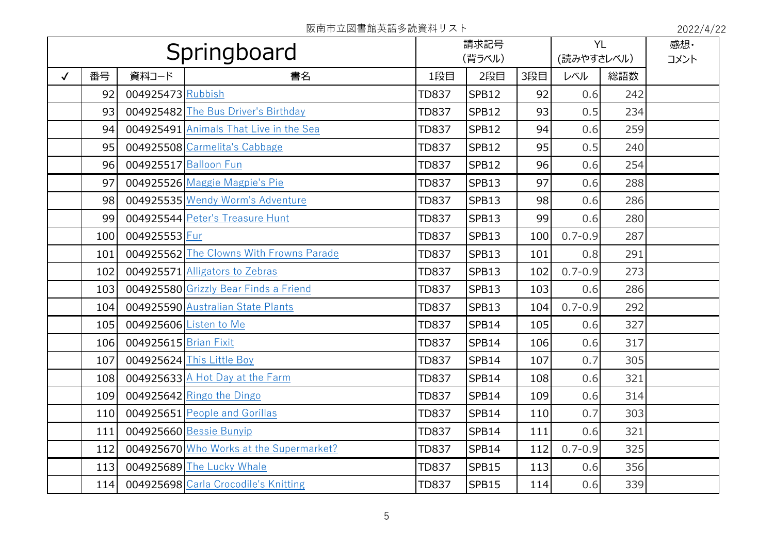|              | Springboard |                       |                                         | 請求記号<br>(背ラベル) |       |     | <b>YL</b><br>(読みやすさレベル) |     | 感想·<br>コメント |
|--------------|-------------|-----------------------|-----------------------------------------|----------------|-------|-----|-------------------------|-----|-------------|
| $\checkmark$ | 番号          | 資料コード                 | 書名                                      | 1段目            | 2段目   | 3段目 | レベル                     | 総語数 |             |
|              | 92          | 004925473 Rubbish     |                                         | <b>TD837</b>   | SPB12 | 92  | 0.6                     | 242 |             |
|              | 93          |                       | 004925482 The Bus Driver's Birthday     | <b>TD837</b>   | SPB12 | 93  | 0.5                     | 234 |             |
|              | 94          |                       | 004925491 Animals That Live in the Sea  | <b>TD837</b>   | SPB12 | 94  | 0.6                     | 259 |             |
|              | 95          |                       | 004925508 Carmelita's Cabbage           | <b>TD837</b>   | SPB12 | 95  | 0.5                     | 240 |             |
|              | 96          |                       | 004925517 Balloon Fun                   | <b>TD837</b>   | SPB12 | 96  | 0.6                     | 254 |             |
|              | 97          |                       | 004925526 Maggie Magpie's Pie           | <b>TD837</b>   | SPB13 | 97  | 0.6                     | 288 |             |
|              | 98          |                       | 004925535 Wendy Worm's Adventure        | <b>TD837</b>   | SPB13 | 98  | 0.6                     | 286 |             |
|              | 99          |                       | 004925544 Peter's Treasure Hunt         | <b>TD837</b>   | SPB13 | 99  | 0.6                     | 280 |             |
|              | 100         | 004925553 Fur         |                                         | <b>TD837</b>   | SPB13 | 100 | $0.7 - 0.9$             | 287 |             |
|              | 101         |                       | 004925562 The Clowns With Frowns Parade | <b>TD837</b>   | SPB13 | 101 | 0.8                     | 291 |             |
|              | 102         |                       | 004925571 Alligators to Zebras          | <b>TD837</b>   | SPB13 | 102 | $0.7 - 0.9$             | 273 |             |
|              | 103         |                       | 004925580 Grizzly Bear Finds a Friend   | <b>TD837</b>   | SPB13 | 103 | 0.6                     | 286 |             |
|              | 104         |                       | 004925590 Australian State Plants       | <b>TD837</b>   | SPB13 | 104 | $0.7 - 0.9$             | 292 |             |
|              | 105         |                       | 004925606 Listen to Me                  | <b>TD837</b>   | SPB14 | 105 | 0.6                     | 327 |             |
|              | 106         | 004925615 Brian Fixit |                                         | <b>TD837</b>   | SPB14 | 106 | 0.6                     | 317 |             |
|              | 107         |                       | 004925624 This Little Boy               | <b>TD837</b>   | SPB14 | 107 | 0.7                     | 305 |             |
|              | 108         |                       | 004925633 A Hot Day at the Farm         | <b>TD837</b>   | SPB14 | 108 | 0.6                     | 321 |             |
|              | 109         |                       | 004925642 Ringo the Dingo               | <b>TD837</b>   | SPB14 | 109 | 0.6                     | 314 |             |
|              | 110         |                       | 004925651 People and Gorillas           | <b>TD837</b>   | SPB14 | 110 | 0.7                     | 303 |             |
|              | 111         |                       | 004925660 Bessie Bunyip                 | <b>TD837</b>   | SPB14 | 111 | 0.6                     | 321 |             |
|              | 112         |                       | 004925670 Who Works at the Supermarket? | <b>TD837</b>   | SPB14 | 112 | $0.7 - 0.9$             | 325 |             |
|              | 113         |                       | 004925689 The Lucky Whale               | <b>TD837</b>   | SPB15 | 113 | 0.6                     | 356 |             |
|              | 114         |                       | 004925698 Carla Crocodile's Knitting    | <b>TD837</b>   | SPB15 | 114 | 0.6                     | 339 |             |